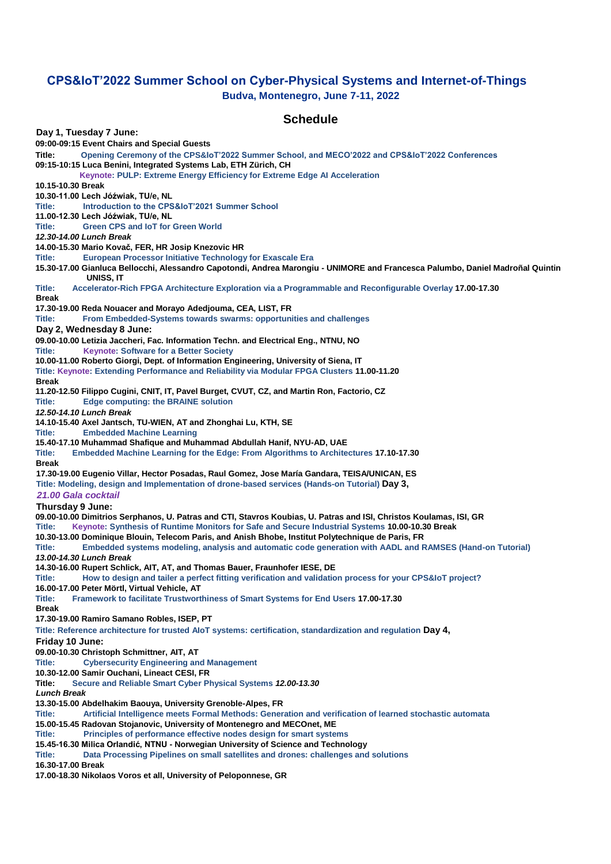## **CPS&IoT'2022 Summer School on Cyber-Physical Systems and Internet-of-Things Budva, Montenegro, June 7-11, 2022**

## **Schedule**

**Day 1, Tuesday 7 June: 09:00-09:15 Event Chairs and Special Guests Title: Opening Ceremony of the CPS&IoT'2022 Summer School, and MECO'2022 and CPS&IoT'2022 Conferences 09:15-10:15 Luca Benini, Integrated Systems Lab, ETH Zürich, CH Keynote: PULP: Extreme Energy Efficiency for Extreme Edge AI Acceleration 10.15-10.30 Break 10.30-11.00 Lech Jóźwiak, TU/e, NL Title: Introduction to the CPS&IoT'2021 Summer School 11.00-12.30 Lech Jóźwiak, TU/e, NL Title: Green CPS and IoT for Green World** *12.30-14.00 Lunch Break*  **14.00-15.30 Mario Kovač, FER, HR Josip Knezovic HR Title: European Processor Initiative Technology for Exascale Era 15.30-17.00 Gianluca Bellocchi, Alessandro Capotondi, Andrea Marongiu - UNIMORE and Francesca Palumbo, Daniel Madroñal Quintin UNISS, IT Title: Accelerator-Rich FPGA Architecture Exploration via a Programmable and Reconfigurable Overlay 17.00-17.30 Break 17.30-19.00 Reda Nouacer and Morayo Adedjouma, CEA, LIST, FR Title: From Embedded-Systems towards swarms: opportunities and challenges Day 2, Wednesday 8 June: 09.00-10.00 Letizia Jaccheri, Fac. Information Techn. and Electrical Eng., NTNU, NO Title: Keynote: Software for a Better Society 10.00-11.00 Roberto Giorgi, Dept. of Information Engineering, University of Siena, IT Title: Keynote: Extending Performance and Reliability via Modular FPGA Clusters 11.00-11.20 Break 11.20-12.50 Filippo Cugini, CNIT, IT, Pavel Burget, CVUT, CZ, and Martin Ron, Factorio, CZ Title: Edge computing: the BRAINE solution** *12.50-14.10 Lunch Break*  **14.10-15.40 Axel Jantsch, TU-WIEN, AT and Zhonghai Lu, KTH, SE Embedded Machine Learning 15.40-17.10 Muhammad Shafique and Muhammad Abdullah Hanif, NYU-AD, UAE Embedded Machine Learning for the Edge: From Algorithms to Architectures 17.10-17.30 Break 17.30-19.00 Eugenio Villar, Hector Posadas, Raul Gomez, Jose María Gandara, TEISA/UNICAN, ES Title: Modeling, design and Implementation of drone-based services (Hands-on Tutorial) Day 3,**  *21.00 Gala cocktail* **Thursday 9 June: 09.00-10.00 Dimitrios Serphanos, U. Patras and CTI, Stavros Koubias, U. Patras and ISI, Christos Koulamas, ISI, GR Title: Keynote: Synthesis of Runtime Monitors for Safe and Secure Industrial Systems 10.00-10.30 Break 10.30-13.00 Dominique Blouin, Telecom Paris, and Anish Bhobe, Institut Polytechnique de Paris, FR Title: Embedded systems modeling, analysis and automatic code generation with AADL and RAMSES (Hand-on Tutorial)** *13.00-14.30 Lunch Break*  **14.30-16.00 Rupert Schlick, AIT, AT, and Thomas Bauer, Fraunhofer IESE, DE Title: How to design and tailer a perfect fitting verification and validation process for your CPS&IoT project? 16.00-17.00 Peter Mörtl, Virtual Vehicle, AT Title: Framework to facilitate Trustworthiness of Smart Systems for End Users 17.00-17.30 Break 17.30-19.00 Ramiro Samano Robles, ISEP, PT Title: Reference architecture for trusted AIoT systems: certification, standardization and regulation Day 4, Friday 10 June: 09.00-10.30 Christoph Schmittner, AIT, AT Title: Cybersecurity Engineering and Management 10.30-12.00 Samir Ouchani, Lineact CESI, FR Title: Secure and Reliable Smart Cyber Physical Systems** *12.00-13.30 Lunch Break*  **13.30-15.00 Abdelhakim Baouya, University Grenoble-Alpes, FR Title: Artificial Intelligence meets Formal Methods: Generation and verification of learned stochastic automata 15.00-15.45 Radovan Stojanovic, University of Montenegro and MECOnet, ME Title: Principles of performance effective nodes design for smart systems 15.45-16.30 Milica Orlandić, NTNU - Norwegian University of Science and Technology Title: Data Processing Pipelines on small satellites and drones: challenges and solutions 16.30-17.00 Break 17.00-18.30 Nikolaos Voros et all, University of Peloponnese, GR**